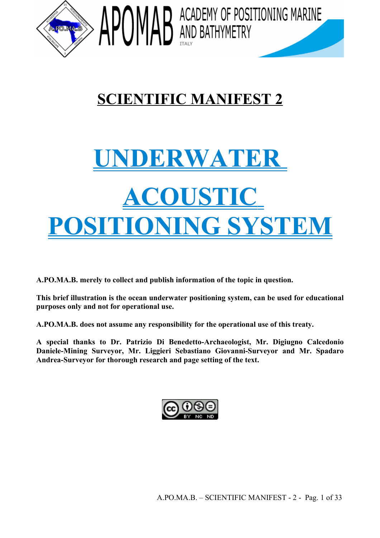

# **SCIENTIFIC MANIFEST 2**

AB ACADEMY OF POSITIONING MARINE

# **DERWATE ACOUSTIC POING SYSTE**

**A.PO.MA.B. merely to collect and publish information of the topic in question.**

**This brief illustration is the ocean underwater positioning system, can be used for educational purposes only and not for operational use.**

**A.PO.MA.B. does not assume any responsibility for the operational use of this treaty.**

**A special thanks to Dr. Patrizio Di Benedetto-Archaeologist, Mr. Digiugno Calcedonio Daniele-Mining Surveyor, Mr. Liggieri Sebastiano Giovanni-Surveyor and Mr. Spadaro Andrea-Surveyor for thorough research and page setting of the text.**

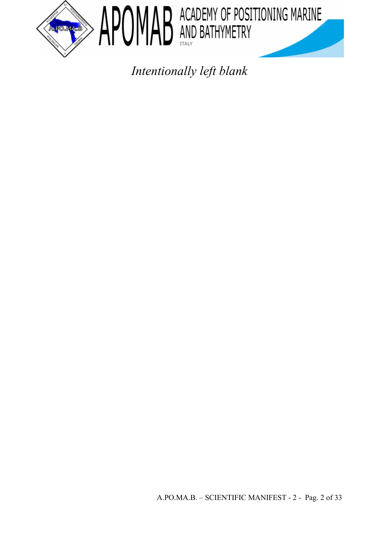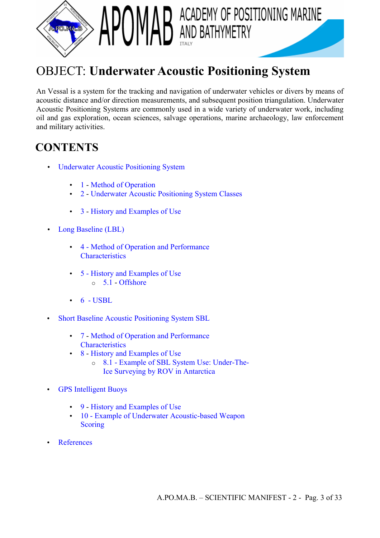

### OBJECT: **Underwater Acoustic Positioning System**

An Vessal is a system for the tracking and navigation of underwater vehicles or divers by means of acoustic distance and/or direction measurements, and subsequent position triangulation. Underwater Acoustic Positioning Systems are commonly used in a wide variety of underwater work, including oil and gas exploration, ocean sciences, salvage operations, marine archaeology, law enforcement and military activities.

### **CONTENTS**

- Underwater Acoustic Positioning System
	- 1 Method of Operation
	- 2 Underwater Acoustic Positioning System Classes
	- 3 History and Examples of Use
- Long Baseline (LBL)
	- 4 Method of Operation and Performance **Characteristics**
	- 5 History and Examples of Use o 5.1 - Offshore
	- $\bullet$  6 USBL
- Short Baseline Acoustic Positioning System SBL
	- 7 Method of Operation and Performance **Characteristics**
	- 8 History and Examples of Use
		- o 8.1 Example of SBL System Use: Under-The-Ice Surveying by ROV in Antarctica
- GPS Intelligent Buoys
	- 9 History and Examples of Use
	- 10 Example of Underwater Acoustic-based Weapon **Scoring**
- **References**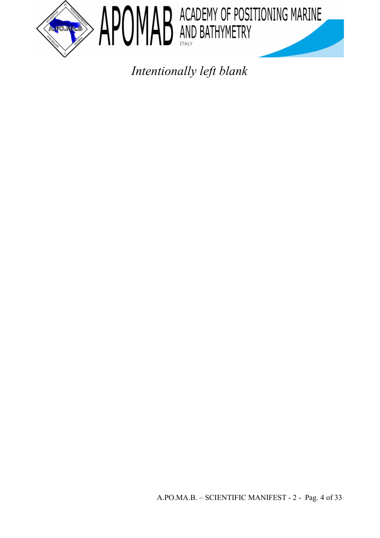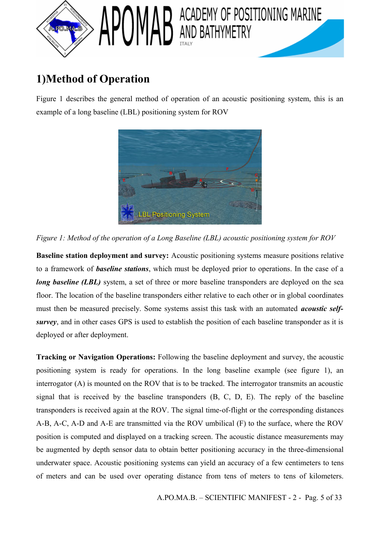

### **1)Method of Operation**

Figure 1 describes the general method of operation of an acoustic positioning system, this is an example of a long baseline (LBL) positioning system for ROV



*Figure 1: Method of the operation of a Long Baseline (LBL) acoustic positioning system for ROV*

**Baseline station deployment and survey:** Acoustic positioning systems measure positions relative to a framework of *baseline stations*, which must be deployed prior to operations. In the case of a *long baseline (LBL)* system, a set of three or more baseline transponders are deployed on the sea floor. The location of the baseline transponders either relative to each other or in global coordinates must then be measured precisely. Some systems assist this task with an automated *acoustic selfsurvey*, and in other cases GPS is used to establish the position of each baseline transponder as it is deployed or after deployment.

**Tracking or Navigation Operations:** Following the baseline deployment and survey, the acoustic positioning system is ready for operations. In the long baseline example (see figure 1), an interrogator (A) is mounted on the ROV that is to be tracked. The interrogator transmits an acoustic signal that is received by the baseline transponders (B, C, D, E). The reply of the baseline transponders is received again at the ROV. The signal time-of-flight or the corresponding distances A-B, A-C, A-D and A-E are transmitted via the ROV umbilical (F) to the surface, where the ROV position is computed and displayed on a tracking screen. The acoustic distance measurements may be augmented by depth sensor data to obtain better positioning accuracy in the three-dimensional underwater space. Acoustic positioning systems can yield an accuracy of a few centimeters to tens of meters and can be used over operating distance from tens of meters to tens of kilometers.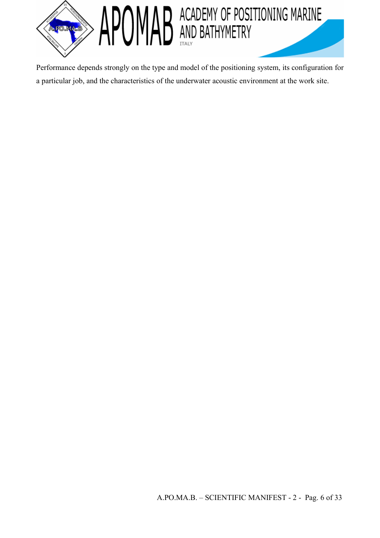



a particular job, and the characteristics of the underwater acoustic environment at the work site.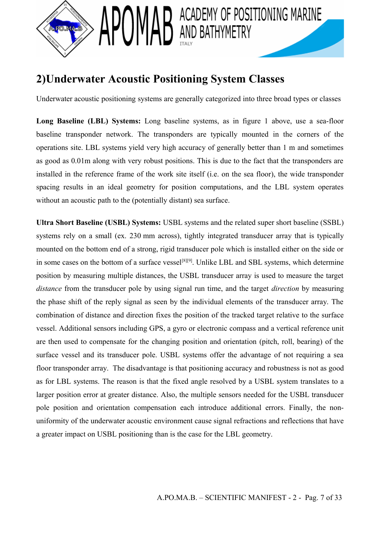

### **2)Underwater Acoustic Positioning System Classes**

Underwater acoustic positioning systems are generally categorized into three broad types or classes

**Long Baseline (LBL) Systems:** Long baseline systems, as in figure 1 above, use a sea-floor baseline transponder network. The transponders are typically mounted in the corners of the operations site. LBL systems yield very high accuracy of generally better than 1 m and sometimes as good as 0.01m along with very robust positions. This is due to the fact that the transponders are installed in the reference frame of the work site itself (i.e. on the sea floor), the wide transponder spacing results in an ideal geometry for position computations, and the LBL system operates without an acoustic path to the (potentially distant) sea surface.

**Ultra Short Baseline (USBL) Systems:** USBL systems and the related super short baseline (SSBL) systems rely on a small (ex. 230 mm across), tightly integrated transducer array that is typically mounted on the bottom end of a strong, rigid transducer pole which is installed either on the side or in some cases on the bottom of a surface vessel<sup>[8][9]</sup>. Unlike LBL and SBL systems, which determine position by measuring multiple distances, the USBL transducer array is used to measure the target *distance* from the transducer pole by using signal run time, and the target *direction* by measuring the phase shift of the reply signal as seen by the individual elements of the transducer array. The combination of distance and direction fixes the position of the tracked target relative to the surface vessel. Additional sensors including GPS, a gyro or electronic compass and a vertical reference unit are then used to compensate for the changing position and orientation (pitch, roll, bearing) of the surface vessel and its transducer pole. USBL systems offer the advantage of not requiring a sea floor transponder array. The disadvantage is that positioning accuracy and robustness is not as good as for LBL systems. The reason is that the fixed angle resolved by a USBL system translates to a larger position error at greater distance. Also, the multiple sensors needed for the USBL transducer pole position and orientation compensation each introduce additional errors. Finally, the nonuniformity of the underwater acoustic environment cause signal refractions and reflections that have a greater impact on USBL positioning than is the case for the LBL geometry.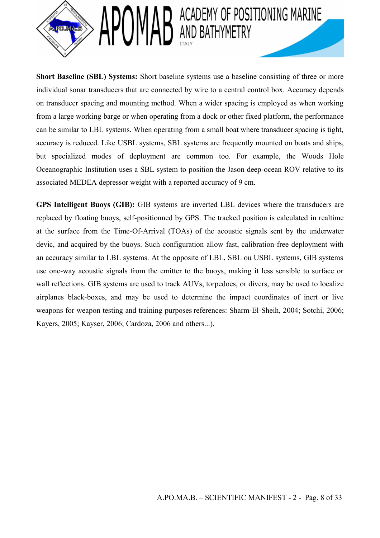

**Short Baseline (SBL) Systems:** Short baseline systems use a baseline consisting of three or more individual sonar transducers that are connected by wire to a central control box. Accuracy depends on transducer spacing and mounting method. When a wider spacing is employed as when working from a large working barge or when operating from a dock or other fixed platform, the performance can be similar to LBL systems. When operating from a small boat where transducer spacing is tight, accuracy is reduced. Like USBL systems, SBL systems are frequently mounted on boats and ships, but specialized modes of deployment are common too. For example, the Woods Hole Oceanographic Institution uses a SBL system to position the Jason deep-ocean ROV relative to its associated MEDEA depressor weight with a reported accuracy of 9 cm.

**GPS Intelligent Buoys (GIB):** GIB systems are inverted LBL devices where the transducers are replaced by floating buoys, self-positionned by GPS. The tracked position is calculated in realtime at the surface from the Time-Of-Arrival (TOAs) of the acoustic signals sent by the underwater devic, and acquired by the buoys. Such configuration allow fast, calibration-free deployment with an accuracy similar to LBL systems. At the opposite of LBL, SBL ou USBL systems, GIB systems use one-way acoustic signals from the emitter to the buoys, making it less sensible to surface or wall reflections. GIB systems are used to track AUVs, torpedoes, or divers, may be used to localize airplanes black-boxes, and may be used to determine the impact coordinates of inert or live weapons for weapon testing and training purposes references: Sharm-El-Sheih, 2004; Sotchi, 2006; Kayers, 2005; Kayser, 2006; Cardoza, 2006 and others...).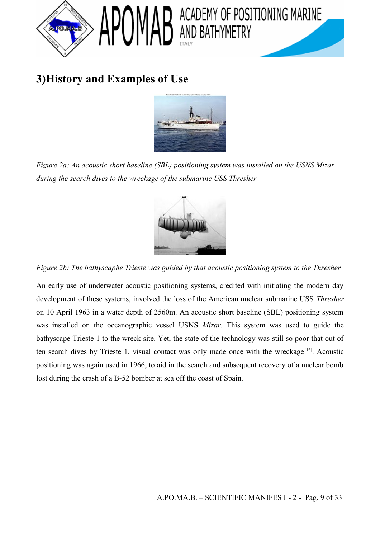

### **3)History and Examples of Use**



*Figure 2a: An acoustic short baseline (SBL) positioning system was installed on the USNS Mizar during the search dives to the wreckage of the submarine USS Thresher*



*Figure 2b: The bathyscaphe Trieste was guided by that acoustic positioning system to the Thresher*

An early use of underwater acoustic positioning systems, credited with initiating the modern day development of these systems, involved the loss of the American nuclear submarine USS *Thresher* on 10 April 1963 in a water depth of 2560m. An acoustic short baseline (SBL) positioning system was installed on the oceanographic vessel USNS *Mizar*. This system was used to guide the bathyscape Trieste 1 to the wreck site. Yet, the state of the technology was still so poor that out of ten search dives by Trieste 1, visual contact was only made once with the wreckage<sup>[16]</sup>. Acoustic positioning was again used in 1966, to aid in the search and subsequent recovery of a nuclear bomb lost during the crash of a B-52 bomber at sea off the coast of Spain.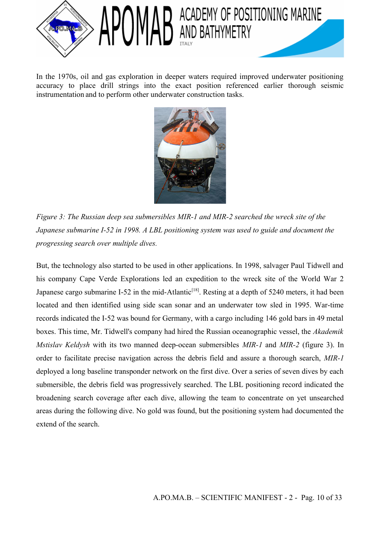

In the 1970s, oil and gas exploration in deeper waters required improved underwater positioning accuracy to place drill strings into the exact position referenced earlier thorough seismic instrumentation and to perform other underwater construction tasks.

**OMAB** ACADEMY OF POSITIONING MARINE



*Figure 3: The Russian deep sea submersibles MIR-1 and MIR-2 searched the wreck site of the Japanese submarine I-52 in 1998. A LBL positioning system was used to guide and document the progressing search over multiple dives.*

But, the technology also started to be used in other applications. In 1998, salvager Paul Tidwell and his company Cape Verde Explorations led an expedition to the wreck site of the World War 2 Japanese cargo submarine I-52 in the mid-Atlantic<sup>[18]</sup>. Resting at a depth of 5240 meters, it had been located and then identified using side scan sonar and an underwater tow sled in 1995. War-time records indicated the I-52 was bound for Germany, with a cargo including 146 gold bars in 49 metal boxes. This time, Mr. Tidwell's company had hired the Russian oceanographic vessel, the *Akademik Mstislav Keldysh* with its two manned deep-ocean submersibles *MIR-1* and *MIR-2* (figure 3). In order to facilitate precise navigation across the debris field and assure a thorough search, *MIR-1* deployed a long baseline transponder network on the first dive. Over a series of seven dives by each submersible, the debris field was progressively searched. The LBL positioning record indicated the broadening search coverage after each dive, allowing the team to concentrate on yet unsearched areas during the following dive. No gold was found, but the positioning system had documented the extend of the search.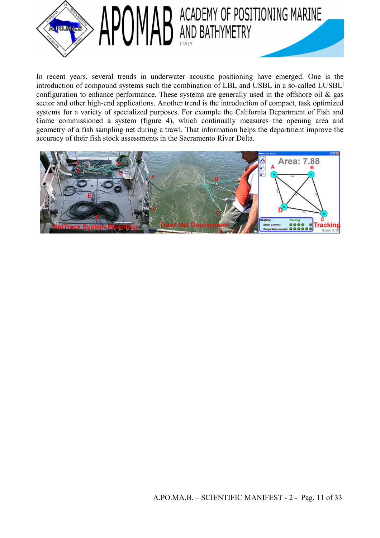

In recent years, several trends in underwater acoustic positioning have emerged. One is the introduction of compound systems such the combination of LBL and USBL in a so-called LUSBL<sup>[1]</sup> configuration to enhance performance. These systems are generally used in the offshore oil  $\&$  gas sector and other high-end applications. Another trend is the introduction of compact, task optimized systems for a variety of specialized purposes. For example the California Department of Fish and Game commissioned a system (figure 4), which continually measures the opening area and geometry of a fish sampling net during a trawl. That information helps the department improve the accuracy of their fish stock assessments in the Sacramento River Delta.

**OMAB** ACADEMY OF POSITIONING MARINE

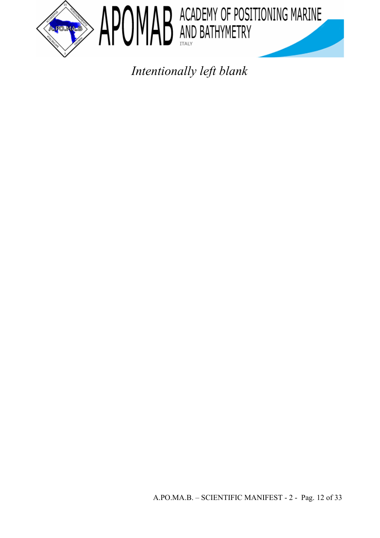

A.PO.MA.B. – SCIENTIFIC MANIFEST - 2 - Pag. 12 of 33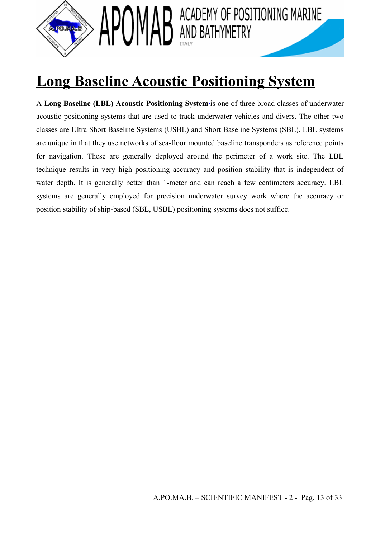

# **Long Baseline Acoustic Positioning System**

A **Long Baseline (LBL) Acoustic Positioning System** is one of three broad classes of underwater acoustic positioning systems that are used to track underwater vehicles and divers. The other two classes are Ultra Short Baseline Systems (USBL) and Short Baseline Systems (SBL). LBL systems are unique in that they use networks of sea-floor mounted baseline transponders as reference points for navigation. These are generally deployed around the perimeter of a work site. The LBL technique results in very high positioning accuracy and position stability that is independent of water depth. It is generally better than 1-meter and can reach a few centimeters accuracy. LBL systems are generally employed for precision underwater survey work where the accuracy or position stability of ship-based (SBL, USBL) positioning systems does not suffice.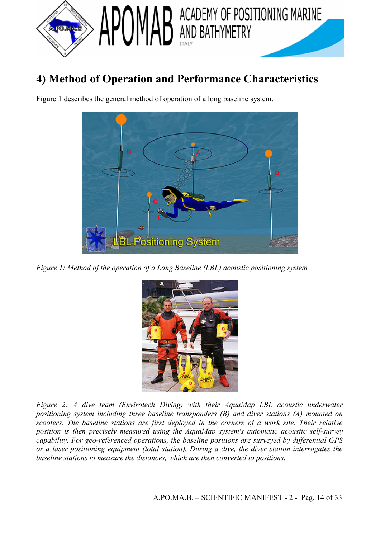

### **4) Method of Operation and Performance Characteristics**

Figure 1 describes the general method of operation of a long baseline system.



*Figure 1: Method of the operation of a Long Baseline (LBL) acoustic positioning system*



*Figure 2: A dive team (Envirotech Diving) with their AquaMap LBL acoustic underwater positioning system including three baseline transponders (B) and diver stations (A) mounted on scooters. The baseline stations are first deployed in the corners of a work site. Their relative position is then precisely measured using the AquaMap system's automatic acoustic self-survey capability. For geo-referenced operations, the baseline positions are surveyed by differential GPS or a laser positioning equipment (total station). During a dive, the diver station interrogates the baseline stations to measure the distances, which are then converted to positions.*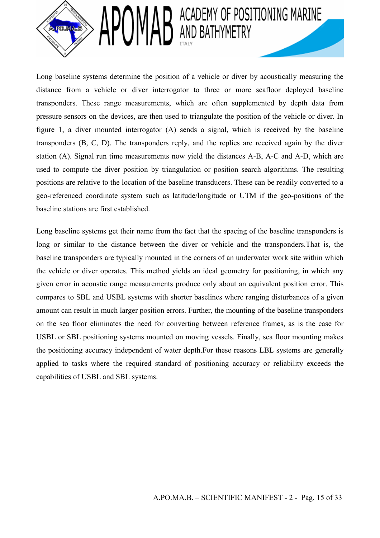

Long baseline systems determine the position of a vehicle or diver by acoustically measuring the distance from a vehicle or diver interrogator to three or more seafloor deployed baseline transponders. These range measurements, which are often supplemented by depth data from pressure sensors on the devices, are then used to triangulate the position of the vehicle or diver. In figure 1, a diver mounted interrogator (A) sends a signal, which is received by the baseline transponders (B, C, D). The transponders reply, and the replies are received again by the diver station (A). Signal run time measurements now yield the distances A-B, A-C and A-D, which are used to compute the diver position by triangulation or position search algorithms. The resulting positions are relative to the location of the baseline transducers. These can be readily converted to a geo-referenced coordinate system such as latitude/longitude or UTM if the geo-positions of the baseline stations are first established.

**POMAB** ACADEMY OF POSITIONING MARINE

Long baseline systems get their name from the fact that the spacing of the baseline transponders is long or similar to the distance between the diver or vehicle and the transponders.That is, the baseline transponders are typically mounted in the corners of an underwater work site within which the vehicle or diver operates. This method yields an ideal geometry for positioning, in which any given error in acoustic range measurements produce only about an equivalent position error. This compares to SBL and USBL systems with shorter baselines where ranging disturbances of a given amount can result in much larger position errors. Further, the mounting of the baseline transponders on the sea floor eliminates the need for converting between reference frames, as is the case for USBL or SBL positioning systems mounted on moving vessels. Finally, sea floor mounting makes the positioning accuracy independent of water depth.For these reasons LBL systems are generally applied to tasks where the required standard of positioning accuracy or reliability exceeds the capabilities of USBL and SBL systems.

#### A.PO.MA.B. – SCIENTIFIC MANIFEST - 2 - Pag. 15 of 33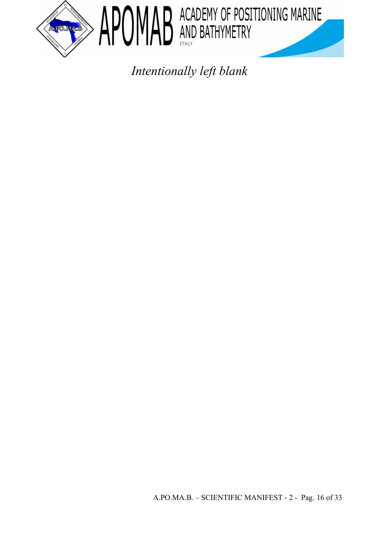

A.PO.MA.B. – SCIENTIFIC MANIFEST - 2 - Pag. 16 of 33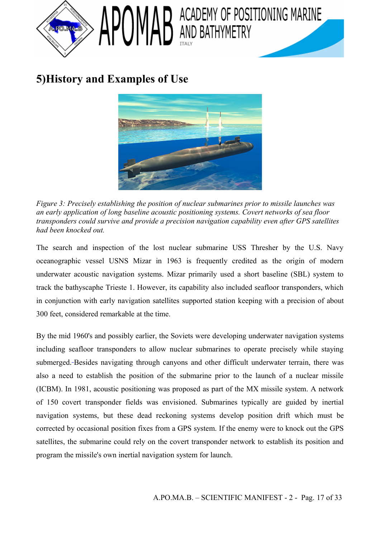

### **5)History and Examples of Use**



*Figure 3: Precisely establishing the position of nuclear submarines prior to missile launches was an early application of long baseline acoustic positioning systems. Covert networks of sea floor transponders could survive and provide a precision navigation capability even after GPS satellites had been knocked out.*

The search and inspection of the lost nuclear submarine USS Thresher by the U.S. Navy oceanographic vessel USNS Mizar in 1963 is frequently credited as the origin of modern underwater acoustic navigation systems. Mizar primarily used a short baseline (SBL) system to track the bathyscaphe Trieste 1. However, its capability also included seafloor transponders, which in conjunction with early navigation satellites supported station keeping with a precision of about 300 feet, considered remarkable at the time.

By the mid 1960's and possibly earlier, the Soviets were developing underwater navigation systems including seafloor transponders to allow nuclear submarines to operate precisely while staying submerged. Besides navigating through canyons and other difficult underwater terrain, there was also a need to establish the position of the submarine prior to the launch of a nuclear missile (ICBM). In 1981, acoustic positioning was proposed as part of the MX missile system. A network of 150 covert transponder fields was envisioned. Submarines typically are guided by inertial navigation systems, but these dead reckoning systems develop position drift which must be corrected by occasional position fixes from a GPS system. If the enemy were to knock out the GPS satellites, the submarine could rely on the covert transponder network to establish its position and program the missile's own inertial navigation system for launch.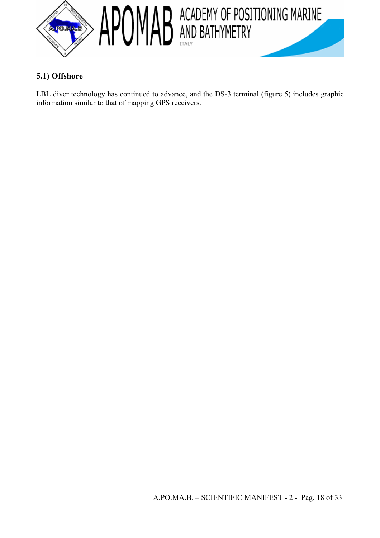



#### **5.1) Offshore**

LBL diver technology has continued to advance, and the DS-3 terminal (figure 5) includes graphic information similar to that of mapping GPS receivers.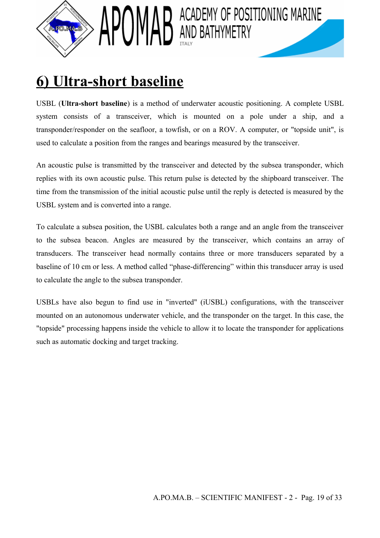

# **6) Ultra-short baseline**

USBL (**Ultra-short baseline**) is a method of underwater acoustic positioning. A complete USBL system consists of a transceiver, which is mounted on a pole under a ship, and a transponder/responder on the seafloor, a towfish, or on a ROV. A computer, or "topside unit", is used to calculate a position from the ranges and bearings measured by the transceiver.

An acoustic pulse is transmitted by the transceiver and detected by the subsea transponder, which replies with its own acoustic pulse. This return pulse is detected by the shipboard transceiver. The time from the transmission of the initial acoustic pulse until the reply is detected is measured by the USBL system and is converted into a range.

To calculate a subsea position, the USBL calculates both a range and an angle from the transceiver to the subsea beacon. Angles are measured by the transceiver, which contains an array of transducers. The transceiver head normally contains three or more transducers separated by a baseline of 10 cm or less. A method called "phase-differencing" within this transducer array is used to calculate the angle to the subsea transponder.

USBLs have also begun to find use in "inverted" (iUSBL) configurations, with the transceiver mounted on an autonomous underwater vehicle, and the transponder on the target. In this case, the "topside" processing happens inside the vehicle to allow it to locate the transponder for applications such as automatic docking and target tracking.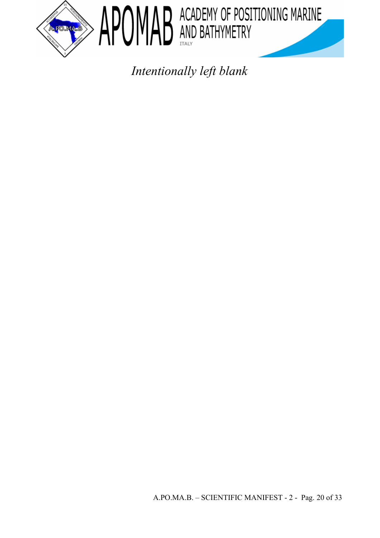

A.PO.MA.B. – SCIENTIFIC MANIFEST - 2 - Pag. 20 of 33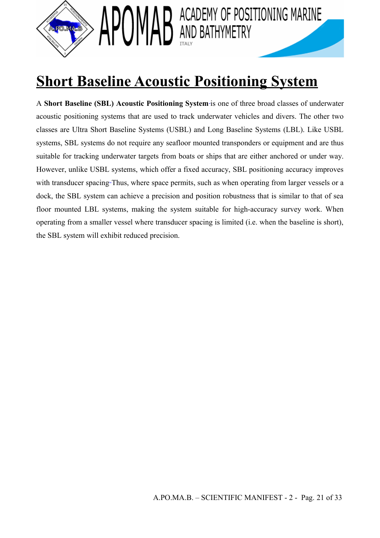

# **Short Baseline Acoustic Positioning System**

A **Short Baseline (SBL) Acoustic Positioning System** is one of three broad classes of underwater acoustic positioning systems that are used to track underwater vehicles and divers. The other two classes are Ultra Short Baseline Systems (USBL) and Long Baseline Systems (LBL). Like USBL systems, SBL systems do not require any seafloor mounted transponders or equipment and are thus suitable for tracking underwater targets from boats or ships that are either anchored or under way. However, unlike USBL systems, which offer a fixed accuracy, SBL positioning accuracy improves with transducer spacing–Thus, where space permits, such as when operating from larger vessels or a dock, the SBL system can achieve a precision and position robustness that is similar to that of sea floor mounted LBL systems, making the system suitable for high-accuracy survey work. When operating from a smaller vessel where transducer spacing is limited (i.e. when the baseline is short), the SBL system will exhibit reduced precision.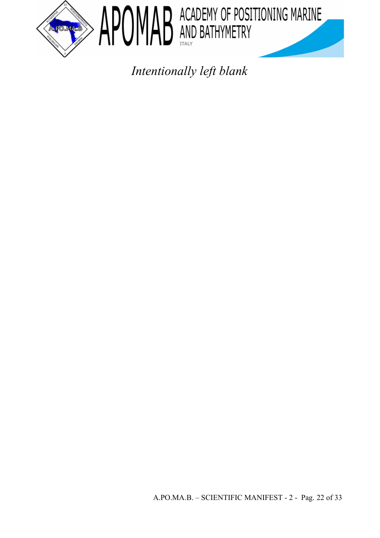

A.PO.MA.B. – SCIENTIFIC MANIFEST - 2 - Pag. 22 of 33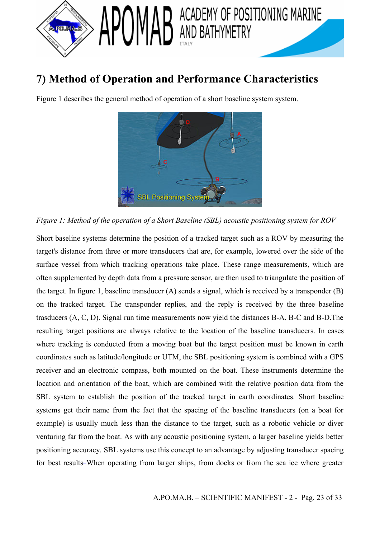

### **7) Method of Operation and Performance Characteristics**

Figure 1 describes the general method of operation of a short baseline system system.



*Figure 1: Method of the operation of a Short Baseline (SBL) acoustic positioning system for ROV*

Short baseline systems determine the position of a tracked target such as a ROV by measuring the target's distance from three or more transducers that are, for example, lowered over the side of the surface vessel from which tracking operations take place. These range measurements, which are often supplemented by depth data from a pressure sensor, are then used to triangulate the position of the target. In figure 1, baseline transducer (A) sends a signal, which is received by a transponder (B) on the tracked target. The transponder replies, and the reply is received by the three baseline trasducers (A, C, D). Signal run time measurements now yield the distances B-A, B-C and B-D.The resulting target positions are always relative to the location of the baseline transducers. In cases where tracking is conducted from a moving boat but the target position must be known in earth coordinates such as latitude/longitude or UTM, the SBL positioning system is combined with a GPS receiver and an electronic compass, both mounted on the boat. These instruments determine the location and orientation of the boat, which are combined with the relative position data from the SBL system to establish the position of the tracked target in earth coordinates. Short baseline systems get their name from the fact that the spacing of the baseline transducers (on a boat for example) is usually much less than the distance to the target, such as a robotic vehicle or diver venturing far from the boat. As with any acoustic positioning system, a larger baseline yields better positioning accuracy. SBL systems use this concept to an advantage by adjusting transducer spacing for best results-When operating from larger ships, from docks or from the sea ice where greater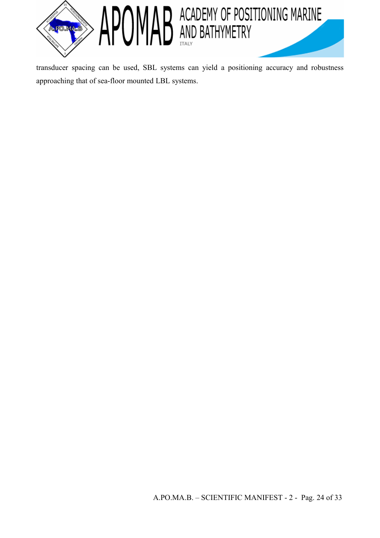



transducer spacing can be used, SBL systems can yield a positioning accuracy and robustness approaching that of sea-floor mounted LBL systems.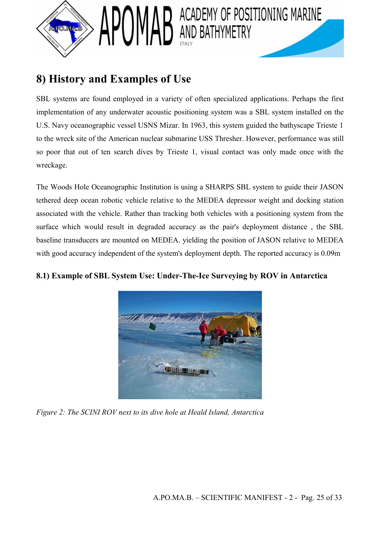

### **8) History and Examples of Use**

SBL systems are found employed in a variety of often specialized applications. Perhaps the first implementation of any underwater acoustic positioning system was a SBL system installed on the U.S. Navy oceanographic vessel USNS Mizar. In 1963, this system guided the bathyscape Trieste 1 to the wreck site of the American nuclear submarine USS Thresher. However, performance was still so poor that out of ten search dives by Trieste 1, visual contact was only made once with the wreckage.

The Woods Hole Oceanographic Institution is using a SHARPS SBL system to guide their JASON tethered deep ocean robotic vehicle relative to the MEDEA depressor weight and docking station associated with the vehicle. Rather than tracking both vehicles with a positioning system from the surface which would result in degraded accuracy as the pair's deployment distance , the SBL baseline transducers are mounted on MEDEA. yielding the position of JASON relative to MEDEA with good accuracy independent of the system's deployment depth. The reported accuracy is 0.09m

#### **8.1) Example of SBL System Use: Under-The-Ice Surveying by ROV in Antarctica**



*Figure 2: The SCINI ROV next to its dive hole at Heald Island, Antarctica*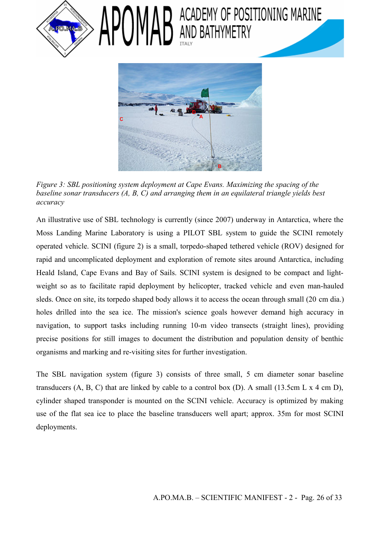

*Figure 3: SBL positioning system deployment at Cape Evans. Maximizing the spacing of the baseline sonar transducers (A, B, C) and arranging them in an equilateral triangle yields best accuracy*

An illustrative use of SBL technology is currently (since 2007) underway in Antarctica, where the Moss Landing Marine Laboratory is using a PILOT SBL system to guide the SCINI remotely operated vehicle. SCINI (figure 2) is a small, torpedo-shaped tethered vehicle (ROV) designed for rapid and uncomplicated deployment and exploration of remote sites around Antarctica, including Heald Island, Cape Evans and Bay of Sails. SCINI system is designed to be compact and lightweight so as to facilitate rapid deployment by helicopter, tracked vehicle and even man-hauled sleds. Once on site, its torpedo shaped body allows it to access the ocean through small (20 cm dia.) holes drilled into the sea ice. The mission's science goals however demand high accuracy in navigation, to support tasks including running 10-m video transects (straight lines), providing precise positions for still images to document the distribution and population density of benthic organisms and marking and re-visiting sites for further investigation.

The SBL navigation system (figure 3) consists of three small, 5 cm diameter sonar baseline transducers  $(A, B, C)$  that are linked by cable to a control box  $(D)$ . A small  $(13.5cm L x 4 cm D)$ , cylinder shaped transponder is mounted on the SCINI vehicle. Accuracy is optimized by making use of the flat sea ice to place the baseline transducers well apart; approx. 35m for most SCINI deployments.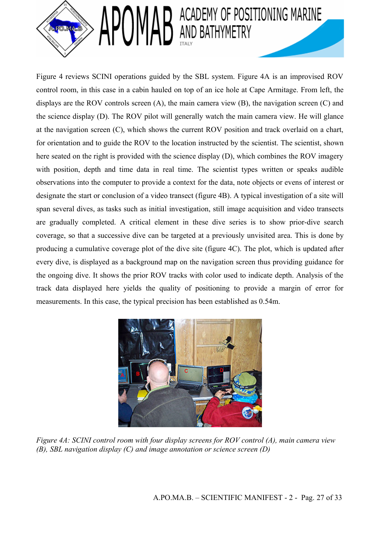

Figure 4 reviews SCINI operations guided by the SBL system. Figure 4A is an improvised ROV control room, in this case in a cabin hauled on top of an ice hole at Cape Armitage. From left, the displays are the ROV controls screen (A), the main camera view (B), the navigation screen (C) and the science display (D). The ROV pilot will generally watch the main camera view. He will glance at the navigation screen (C), which shows the current ROV position and track overlaid on a chart, for orientation and to guide the ROV to the location instructed by the scientist. The scientist, shown here seated on the right is provided with the science display (D), which combines the ROV imagery with position, depth and time data in real time. The scientist types written or speaks audible observations into the computer to provide a context for the data, note objects or evens of interest or designate the start or conclusion of a video transect (figure 4B). A typical investigation of a site will span several dives, as tasks such as initial investigation, still image acquisition and video transects are gradually completed. A critical element in these dive series is to show prior-dive search coverage, so that a successive dive can be targeted at a previously unvisited area. This is done by producing a cumulative coverage plot of the dive site (figure 4C). The plot, which is updated after every dive, is displayed as a background map on the navigation screen thus providing guidance for the ongoing dive. It shows the prior ROV tracks with color used to indicate depth. Analysis of the track data displayed here yields the quality of positioning to provide a margin of error for measurements. In this case, the typical precision has been established as 0.54m.

**OMAB** ACADEMY OF POSITIONING MARINE



*Figure 4A: SCINI control room with four display screens for ROV control (A), main camera view (B), SBL navigation display (C) and image annotation or science screen (D)*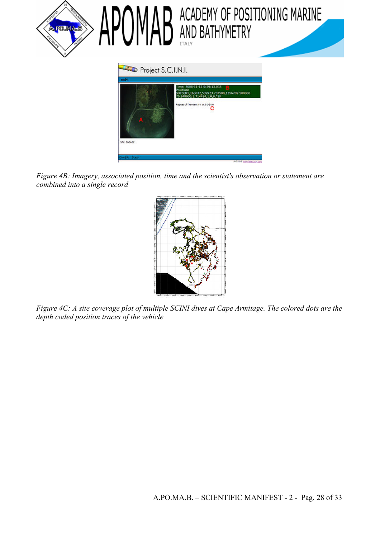

*Figure 4B: Imagery, associated position, time and the scientist's observation or statement are combined into a single record*



*Figure 4C: A site coverage plot of multiple SCINI dives at Cape Armitage. The colored dots are the depth coded position traces of the vehicle*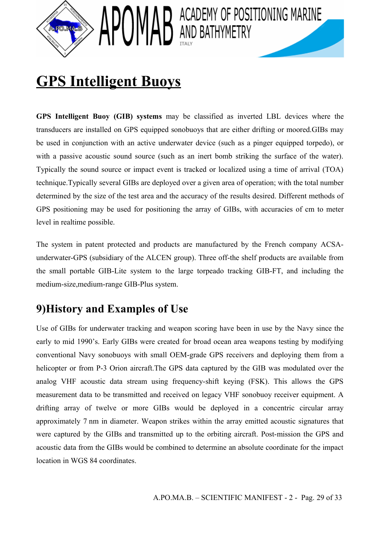

# **GPS Intelligent Buoys**

**GPS Intelligent Buoy (GIB) systems** may be classified as inverted LBL devices where the transducers are installed on GPS equipped sonobuoys that are either drifting or moored.GIBs may be used in conjunction with an active underwater device (such as a pinger equipped torpedo), or with a passive acoustic sound source (such as an inert bomb striking the surface of the water). Typically the sound source or impact event is tracked or localized using a time of arrival (TOA) technique.Typically several GIBs are deployed over a given area of operation; with the total number determined by the size of the test area and the accuracy of the results desired. Different methods of GPS positioning may be used for positioning the array of GIBs, with accuracies of cm to meter level in realtime possible.

The system in patent protected and products are manufactured by the French company ACSAunderwater-GPS (subsidiary of the ALCEN group). Three off-the shelf products are available from the small portable GIB-Lite system to the large torpeado tracking GIB-FT, and including the medium-size,medium-range GIB-Plus system.

### **9)History and Examples of Use**

Use of GIBs for underwater tracking and weapon scoring have been in use by the Navy since the early to mid 1990's. Early GIBs were created for broad ocean area weapons testing by modifying conventional Navy sonobuoys with small OEM-grade GPS receivers and deploying them from a helicopter or from P-3 Orion aircraft.The GPS data captured by the GIB was modulated over the analog VHF acoustic data stream using frequency-shift keying (FSK). This allows the GPS measurement data to be transmitted and received on legacy VHF sonobuoy receiver equipment. A drifting array of twelve or more GIBs would be deployed in a concentric circular array approximately 7 nm in diameter. Weapon strikes within the array emitted acoustic signatures that were captured by the GIBs and transmitted up to the orbiting aircraft. Post-mission the GPS and acoustic data from the GIBs would be combined to determine an absolute coordinate for the impact location in WGS 84 coordinates.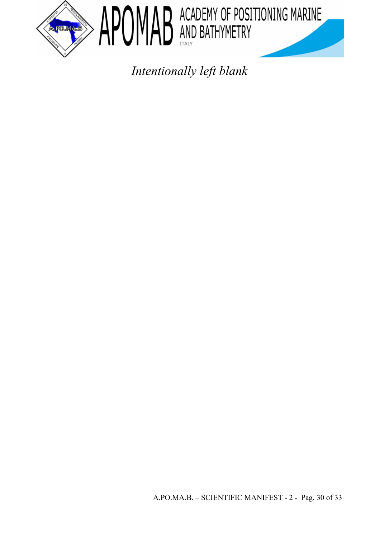

A.PO.MA.B. – SCIENTIFIC MANIFEST - 2 - Pag. 30 of 33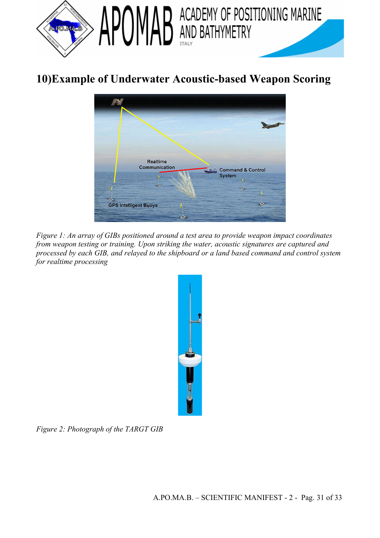

### **10)Example of Underwater Acoustic-based Weapon Scoring**



*Figure 1: An array of GIBs positioned around a test area to provide weapon impact coordinates from weapon testing or training. Upon striking the water, acoustic signatures are captured and processed by each GIB, and relayed to the shipboard or a land based command and control system for realtime processing*



*Figure 2: Photograph of the TARGT GIB*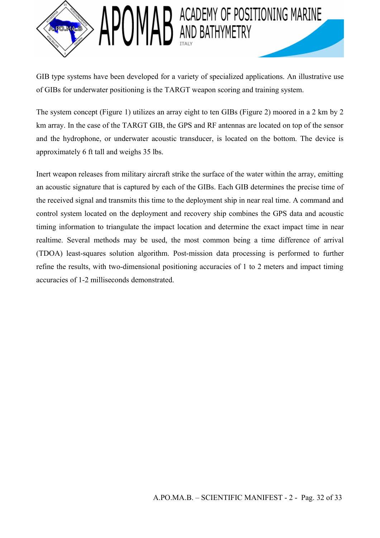

GIB type systems have been developed for a variety of specialized applications. An illustrative use of GIBs for underwater positioning is the TARGT weapon scoring and training system.

The system concept (Figure 1) utilizes an array eight to ten GIBs (Figure 2) moored in a 2 km by 2 km array. In the case of the TARGT GIB, the GPS and RF antennas are located on top of the sensor and the hydrophone, or underwater acoustic transducer, is located on the bottom. The device is approximately 6 ft tall and weighs 35 lbs.

Inert weapon releases from military aircraft strike the surface of the water within the array, emitting an acoustic signature that is captured by each of the GIBs. Each GIB determines the precise time of the received signal and transmits this time to the deployment ship in near real time. A command and control system located on the deployment and recovery ship combines the GPS data and acoustic timing information to triangulate the impact location and determine the exact impact time in near realtime. Several methods may be used, the most common being a time difference of arrival (TDOA) least-squares solution algorithm. Post-mission data processing is performed to further refine the results, with two-dimensional positioning accuracies of 1 to 2 meters and impact timing accuracies of 1-2 milliseconds demonstrated.